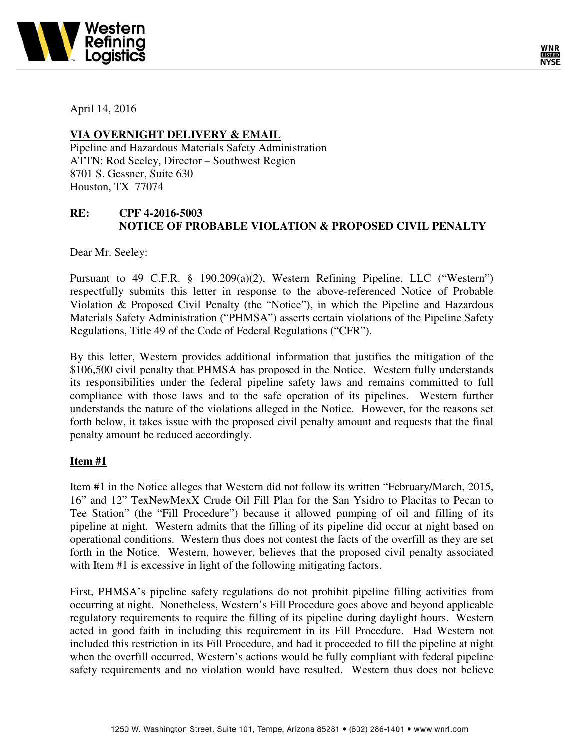



April 14, 2016

## **VIA OVERNIGHT DELIVERY & EMAIL**

Pipeline and Hazardous Materials Safety Administration ATTN: Rod Seeley, Director – Southwest Region 8701 S. Gessner, Suite 630 Houston, TX 77074

## **RE: CPF 4-2016-5003 NOTICE OF PROBABLE VIOLATION & PROPOSED CIVIL PENALTY**

Dear Mr. Seeley:

Pursuant to 49 C.F.R. § 190.209(a)(2), Western Refining Pipeline, LLC ("Western") respectfully submits this letter in response to the above-referenced Notice of Probable Violation & Proposed Civil Penalty (the "Notice"), in which the Pipeline and Hazardous Materials Safety Administration ("PHMSA") asserts certain violations of the Pipeline Safety Regulations, Title 49 of the Code of Federal Regulations ("CFR").

By this letter, Western provides additional information that justifies the mitigation of the \$106,500 civil penalty that PHMSA has proposed in the Notice. Western fully understands its responsibilities under the federal pipeline safety laws and remains committed to full compliance with those laws and to the safe operation of its pipelines. Western further understands the nature of the violations alleged in the Notice. However, for the reasons set forth below, it takes issue with the proposed civil penalty amount and requests that the final penalty amount be reduced accordingly.

## **Item #1**

Item #1 in the Notice alleges that Western did not follow its written "February/March, 2015, 16" and 12" TexNewMexX Crude Oil Fill Plan for the San Ysidro to Placitas to Pecan to Tee Station" (the "Fill Procedure") because it allowed pumping of oil and filling of its pipeline at night. Western admits that the filling of its pipeline did occur at night based on operational conditions. Western thus does not contest the facts of the overfill as they are set forth in the Notice. Western, however, believes that the proposed civil penalty associated with Item #1 is excessive in light of the following mitigating factors.

First, PHMSA's pipeline safety regulations do not prohibit pipeline filling activities from occurring at night. Nonetheless, Western's Fill Procedure goes above and beyond applicable regulatory requirements to require the filling of its pipeline during daylight hours. Western acted in good faith in including this requirement in its Fill Procedure. Had Western not included this restriction in its Fill Procedure, and had it proceeded to fill the pipeline at night when the overfill occurred, Western's actions would be fully compliant with federal pipeline safety requirements and no violation would have resulted. Western thus does not believe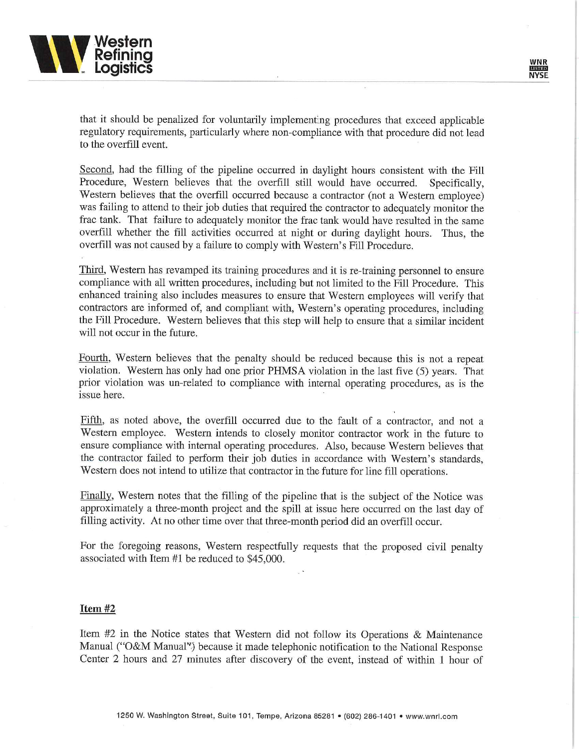

that it should be penalized for voluntarily implementing procedures that exceed applicable regulatory requirements, particularly where non-compliance with that procedure did not lead to the overfill event.

Second, had the filling of the pipeline occurred in daylight hours consistent with the Fill Procedure, Western believes that the overfill still would have occurred. Specifically. Western believes that the overfill occurred because a contractor (not a Western employee) was failing to attend to their job duties that required the contractor to adequately monitor the frac tank. That failure to adequately monitor the frac tank would have resulted in the same overfill whether the fill activities occurred at night or during daylight hours. Thus, the overfill was not caused by a failure to comply with Western's Fill Procedure.

Third, Western has revamped its training procedures and it is re-training personnel to ensure compliance with all written procedures, including but not limited to the Fill Procedure. This enhanced training also includes measures to ensure that Western employees will verify that contractors are informed of, and compliant with, Western's operating procedures, including the Fill Procedure. Western believes that this step will help to ensure that a similar incident will not occur in the future.

Fourth, Western believes that the penalty should be reduced because this is not a repeat violation. Western has only had one prior PHMSA violation in the last five (5) years. That prior violation was un-related to compliance with internal operating procedures, as is the issue here.

Fifth, as noted above, the overfill occurred due to the fault of a contractor, and not a Western employee. Western intends to closely monitor contractor work in the future to ensure compliance with internal operating procedures. Also, because Western believes that the contractor failed to perform their job duties in accordance with Western's standards. Western does not intend to utilize that contractor in the future for line fill operations.

Finally, Western notes that the filling of the pipeline that is the subject of the Notice was approximately a three-month project and the spill at issue here occurred on the last day of filling activity. At no other time over that three-month period did an overfill occur.

For the foregoing reasons, Western respectfully requests that the proposed civil penalty associated with Item #1 be reduced to \$45,000.

## Item #2

Item #2 in the Notice states that Western did not follow its Operations & Maintenance Manual ("O&M Manual") because it made telephonic notification to the National Response Center 2 hours and 27 minutes after discovery of the event, instead of within 1 hour of